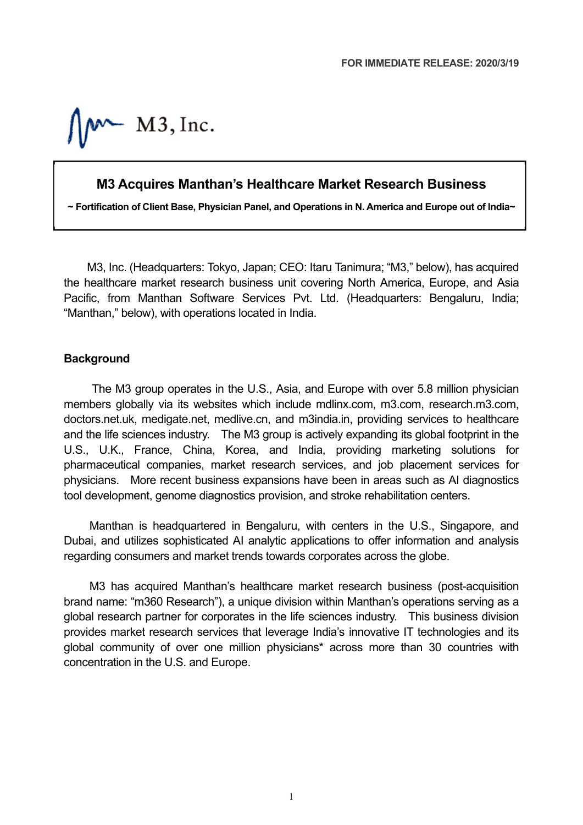$M - M3$ , Inc.

## **M3 Acquires Manthan's Healthcare Market Research Business**

**~ Fortification of Client Base, Physician Panel, and Operations in N. America and Europe out of India~**

M3, Inc. (Headquarters: Tokyo, Japan; CEO: Itaru Tanimura; "M3," below), has acquired the healthcare market research business unit covering North America, Europe, and Asia Pacific, from Manthan Software Services Pvt. Ltd. (Headquarters: Bengaluru, India; "Manthan," below), with operations located in India.

## **Background**

The M3 group operates in the U.S., Asia, and Europe with over 5.8 million physician members globally via its websites which include mdlinx.com, m3.com, research.m3.com, doctors.net.uk, medigate.net, medlive.cn, and m3india.in, providing services to healthcare and the life sciences industry. The M3 group is actively expanding its global footprint in the U.S., U.K., France, China, Korea, and India, providing marketing solutions for pharmaceutical companies, market research services, and job placement services for physicians. More recent business expansions have been in areas such as AI diagnostics tool development, genome diagnostics provision, and stroke rehabilitation centers.

Manthan is headquartered in Bengaluru, with centers in the U.S., Singapore, and Dubai, and utilizes sophisticated AI analytic applications to offer information and analysis regarding consumers and market trends towards corporates across the globe.

M3 has acquired Manthan's healthcare market research business (post-acquisition brand name: "m360 Research"), a unique division within Manthan's operations serving as a global research partner for corporates in the life sciences industry. This business division provides market research services that leverage India's innovative IT technologies and its global community of over one million physicians\* across more than 30 countries with concentration in the U.S. and Europe.